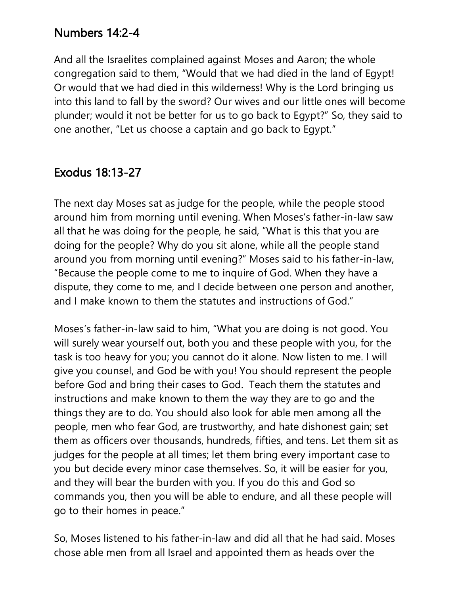## Numbers 14:2-4

And all the Israelites complained against Moses and Aaron; the whole congregation said to them, "Would that we had died in the land of Egypt! Or would that we had died in this wilderness! Why is the Lord bringing us into this land to fall by the sword? Our wives and our little ones will become plunder; would it not be better for us to go back to Egypt?" So, they said to one another, "Let us choose a captain and go back to Egypt."

## Exodus 18:13-27

The next day Moses sat as judge for the people, while the people stood around him from morning until evening. When Moses's father-in-law saw all that he was doing for the people, he said, "What is this that you are doing for the people? Why do you sit alone, while all the people stand around you from morning until evening?" Moses said to his father-in-law, "Because the people come to me to inquire of God. When they have a dispute, they come to me, and I decide between one person and another, and I make known to them the statutes and instructions of God."

Moses's father-in-law said to him, "What you are doing is not good. You will surely wear yourself out, both you and these people with you, for the task is too heavy for you; you cannot do it alone. Now listen to me. I will give you counsel, and God be with you! You should represent the people before God and bring their cases to God. Teach them the statutes and instructions and make known to them the way they are to go and the things they are to do. You should also look for able men among all the people, men who fear God, are trustworthy, and hate dishonest gain; set them as officers over thousands, hundreds, fifties, and tens. Let them sit as judges for the people at all times; let them bring every important case to you but decide every minor case themselves. So, it will be easier for you, and they will bear the burden with you. If you do this and God so commands you, then you will be able to endure, and all these people will go to their homes in peace."

So, Moses listened to his father-in-law and did all that he had said. Moses chose able men from all Israel and appointed them as heads over the